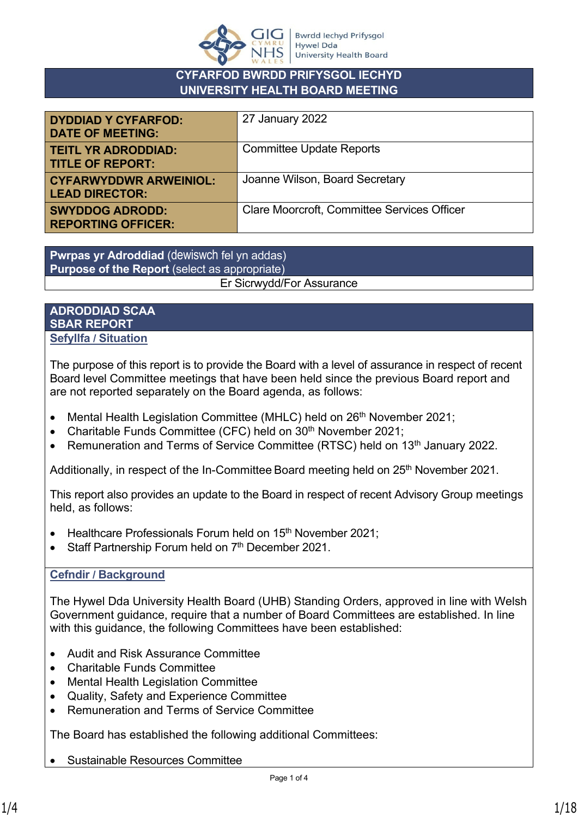

## **CYFARFOD BWRDD PRIFYSGOL IECHYD UNIVERSITY HEALTH BOARD MEETING**

| <b>DYDDIAD Y CYFARFOD:</b><br><b>DATE OF MEETING:</b>  | 27 January 2022                                    |
|--------------------------------------------------------|----------------------------------------------------|
| <b>TEITL YR ADRODDIAD:</b><br><b>TITLE OF REPORT:</b>  | <b>Committee Update Reports</b>                    |
| <b>CYFARWYDDWR ARWEINIOL:</b><br><b>LEAD DIRECTOR:</b> | Joanne Wilson, Board Secretary                     |
| <b>SWYDDOG ADRODD:</b><br><b>REPORTING OFFICER:</b>    | <b>Clare Moorcroft, Committee Services Officer</b> |

**Pwrpas yr Adroddiad** (dewiswch fel yn addas) **Purpose of the Report** (select as appropriate) Er Sicrwydd/For Assurance

### **ADRODDIAD SCAA SBAR REPORT Sefyllfa / Situation**

The purpose of this report is to provide the Board with a level of assurance in respect of recent Board level Committee meetings that have been held since the previous Board report and are not reported separately on the Board agenda, as follows:

- Mental Health Legislation Committee (MHLC) held on 26<sup>th</sup> November 2021;
- Charitable Funds Committee (CFC) held on 30<sup>th</sup> November 2021;
- Remuneration and Terms of Service Committee (RTSC) held on 13<sup>th</sup> January 2022.

Additionally, in respect of the In-Committee Board meeting held on 25<sup>th</sup> November 2021.

This report also provides an update to the Board in respect of recent Advisory Group meetings held, as follows:

- Healthcare Professionals Forum held on 15<sup>th</sup> November 2021:
- $\bullet$  Staff Partnership Forum held on  $7<sup>th</sup>$  December 2021.

## **Cefndir / Background**

The Hywel Dda University Health Board (UHB) Standing Orders, approved in line with Welsh Government guidance, require that a number of Board Committees are established. In line with this guidance, the following Committees have been established:

- Audit and Risk Assurance Committee
- Charitable Funds Committee
- Mental Health Legislation Committee
- Quality, Safety and Experience Committee
- Remuneration and Terms of Service Committee

The Board has established the following additional Committees:

Sustainable Resources Committee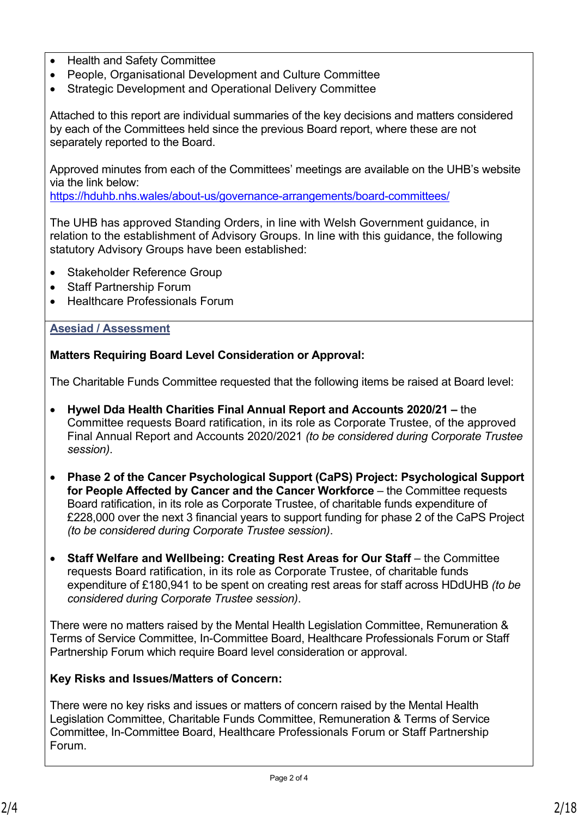- Health and Safety Committee
- People, Organisational Development and Culture Committee
- Strategic Development and Operational Delivery Committee

Attached to this report are individual summaries of the key decisions and matters considered by each of the Committees held since the previous Board report, where these are not separately reported to the Board.

Approved minutes from each of the Committees' meetings are available on the UHB's website via the link below:

<https://hduhb.nhs.wales/about-us/governance-arrangements/board-committees/>

The UHB has approved Standing Orders, in line with Welsh Government guidance, in relation to the establishment of Advisory Groups. In line with this guidance, the following statutory Advisory Groups have been established:

- Stakeholder Reference Group
- Staff Partnership Forum
- Healthcare Professionals Forum

### **Asesiad / Assessment**

**Matters Requiring Board Level Consideration or Approval:**

The Charitable Funds Committee requested that the following items be raised at Board level:

- **Hywel Dda Health Charities Final Annual Report and Accounts 2020/21** the Committee requests Board ratification, in its role as Corporate Trustee, of the approved Final Annual Report and Accounts 2020/2021 *(to be considered during Corporate Trustee session)*.
- **Phase 2 of the Cancer Psychological Support (CaPS) Project: Psychological Support for People Affected by Cancer and the Cancer Workforce** – the Committee requests Board ratification, in its role as Corporate Trustee, of charitable funds expenditure of £228,000 over the next 3 financial years to support funding for phase 2 of the CaPS Project *(to be considered during Corporate Trustee session)*.
- **Staff Welfare and Wellbeing: Creating Rest Areas for Our Staff** the Committee requests Board ratification, in its role as Corporate Trustee, of charitable funds expenditure of £180,941 to be spent on creating rest areas for staff across HDdUHB *(to be considered during Corporate Trustee session)*.

There were no matters raised by the Mental Health Legislation Committee, Remuneration & Terms of Service Committee, In-Committee Board, Healthcare Professionals Forum or Staff Partnership Forum which require Board level consideration or approval.

## **Key Risks and Issues/Matters of Concern:**

There were no key risks and issues or matters of concern raised by the Mental Health Legislation Committee, Charitable Funds Committee, Remuneration & Terms of Service Committee, In-Committee Board, Healthcare Professionals Forum or Staff Partnership Forum.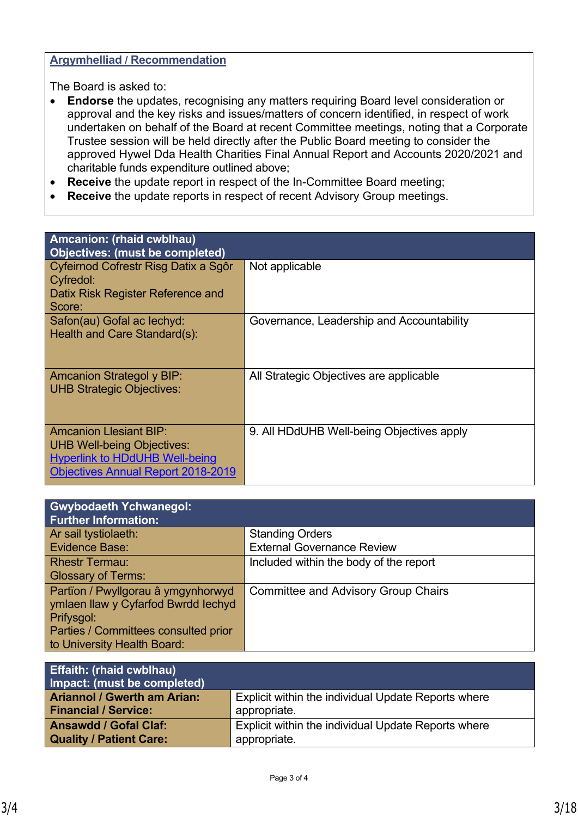#### **Argymhelliad / Recommendation**

The Board is asked to:

- **Endorse** the updates, recognising any matters requiring Board level consideration or approval and the key risks and issues/matters of concern identified, in respect of work undertaken on behalf of the Board at recent Committee meetings, noting that a Corporate Trustee session will be held directly after the Public Board meeting to consider the approved Hywel Dda Health Charities Final Annual Report and Accounts 2020/2021 and charitable funds expenditure outlined above;
- **Receive** the update report in respect of the In-Committee Board meeting;
- **Receive** the update reports in respect of recent Advisory Group meetings.

| Amcanion: (rhaid cwblhau)                                                                                                                         |                                           |  |  |
|---------------------------------------------------------------------------------------------------------------------------------------------------|-------------------------------------------|--|--|
| <b>Objectives: (must be completed)</b>                                                                                                            |                                           |  |  |
| Cyfeirnod Cofrestr Risg Datix a Sgôr<br>Cyfredol:                                                                                                 | Not applicable                            |  |  |
| Datix Risk Register Reference and<br>Score:                                                                                                       |                                           |  |  |
| Safon(au) Gofal ac lechyd:<br>Health and Care Standard(s):                                                                                        | Governance, Leadership and Accountability |  |  |
| <b>Amcanion Strategol y BIP:</b><br><b>UHB Strategic Objectives:</b>                                                                              | All Strategic Objectives are applicable   |  |  |
| Amcanion Llesiant BIP:<br><b>UHB Well-being Objectives:</b><br><b>Hyperlink to HDdUHB Well-being</b><br><b>Objectives Annual Report 2018-2019</b> | 9. All HDdUHB Well-being Objectives apply |  |  |

| <b>Gwybodaeth Ychwanegol:</b><br><b>Further Information:</b> |                                            |
|--------------------------------------------------------------|--------------------------------------------|
| Ar sail tystiolaeth:                                         | <b>Standing Orders</b>                     |
| Evidence Base:                                               | <b>External Governance Review</b>          |
| <b>Rhestr Termau:</b>                                        | Included within the body of the report     |
| <b>Glossary of Terms:</b>                                    |                                            |
| Partïon / Pwyllgorau â ymgynhorwyd                           | <b>Committee and Advisory Group Chairs</b> |
| ymlaen llaw y Cyfarfod Bwrdd lechyd                          |                                            |
| Prifysgol:                                                   |                                            |
| Parties / Committees consulted prior                         |                                            |
| to University Health Board:                                  |                                            |

| <b>Effaith: (rhaid cwblhau)</b><br>Impact: (must be completed) |                                                     |
|----------------------------------------------------------------|-----------------------------------------------------|
| <b>Ariannol / Gwerth am Arian:</b>                             | Explicit within the individual Update Reports where |
| <b>Financial / Service:</b>                                    | appropriate.                                        |
| <b>Ansawdd / Gofal Claf:</b>                                   | Explicit within the individual Update Reports where |
| <b>Quality / Patient Care:</b>                                 | appropriate.                                        |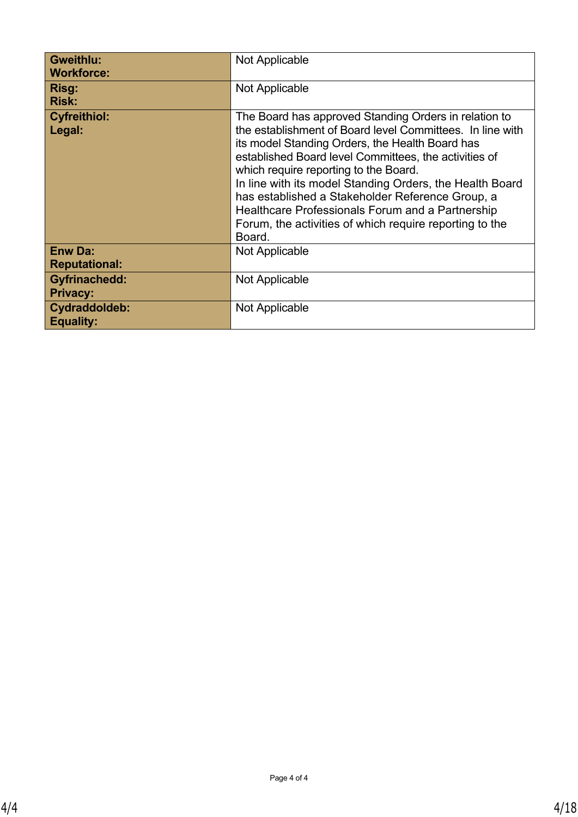| <b>Gweithlu:</b><br><b>Workforce:</b>   | Not Applicable                                                                                                                                                                                                                                                                                                                                                                                                                                                                                                   |
|-----------------------------------------|------------------------------------------------------------------------------------------------------------------------------------------------------------------------------------------------------------------------------------------------------------------------------------------------------------------------------------------------------------------------------------------------------------------------------------------------------------------------------------------------------------------|
| Risg:<br><b>Risk:</b>                   | Not Applicable                                                                                                                                                                                                                                                                                                                                                                                                                                                                                                   |
| <b>Cyfreithiol:</b><br>Legal:           | The Board has approved Standing Orders in relation to<br>the establishment of Board level Committees. In line with<br>its model Standing Orders, the Health Board has<br>established Board level Committees, the activities of<br>which require reporting to the Board.<br>In line with its model Standing Orders, the Health Board<br>has established a Stakeholder Reference Group, a<br>Healthcare Professionals Forum and a Partnership<br>Forum, the activities of which require reporting to the<br>Board. |
| <b>Enw Da:</b><br><b>Reputational:</b>  | Not Applicable                                                                                                                                                                                                                                                                                                                                                                                                                                                                                                   |
| <b>Gyfrinachedd:</b><br><b>Privacy:</b> | Not Applicable                                                                                                                                                                                                                                                                                                                                                                                                                                                                                                   |
| Cydraddoldeb:<br><b>Equality:</b>       | Not Applicable                                                                                                                                                                                                                                                                                                                                                                                                                                                                                                   |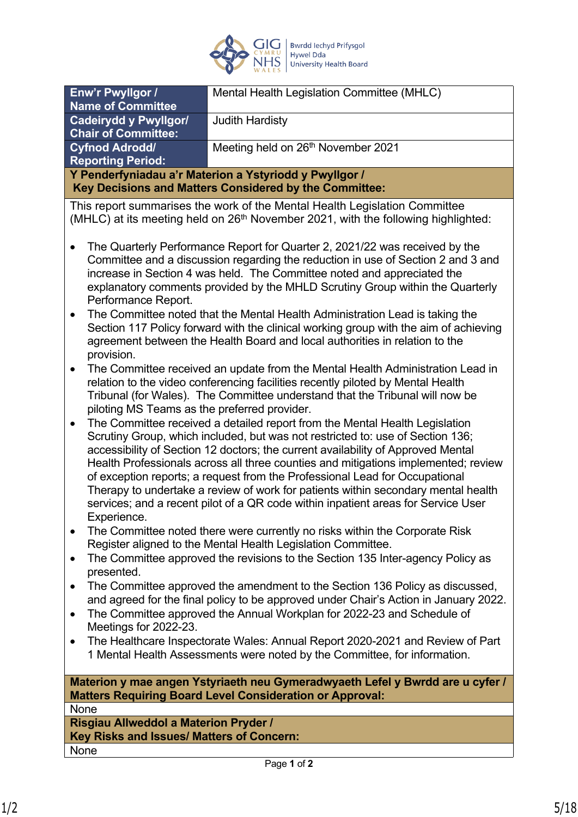

| Enw'r Pwyllgor /                                       | Mental Health Legislation Committee (MHLC) |  |
|--------------------------------------------------------|--------------------------------------------|--|
| <b>Name of Committee</b>                               |                                            |  |
| <b>Cadeirydd y Pwyllgor/</b>                           | <b>Judith Hardisty</b>                     |  |
| <b>Chair of Committee:</b>                             |                                            |  |
| <b>Cyfnod Adrodd/</b>                                  | Meeting held on 26th November 2021         |  |
| <b>Reporting Period:</b>                               |                                            |  |
| Y Penderfyniadau a'r Materion a Ystyriodd y Pwyllgor / |                                            |  |
| Key Decisions and Matters Considered by the Committee: |                                            |  |
|                                                        |                                            |  |

This report summarises the work of the Mental Health Legislation Committee (MHLC) at its meeting held on  $26<sup>th</sup>$  November 2021, with the following highlighted:

- The Quarterly Performance Report for Quarter 2, 2021/22 was received by the Committee and a discussion regarding the reduction in use of Section 2 and 3 and increase in Section 4 was held. The Committee noted and appreciated the explanatory comments provided by the MHLD Scrutiny Group within the Quarterly Performance Report.
- The Committee noted that the Mental Health Administration Lead is taking the Section 117 Policy forward with the clinical working group with the aim of achieving agreement between the Health Board and local authorities in relation to the provision.
- The Committee received an update from the Mental Health Administration Lead in relation to the video conferencing facilities recently piloted by Mental Health Tribunal (for Wales). The Committee understand that the Tribunal will now be piloting MS Teams as the preferred provider.
- The Committee received a detailed report from the Mental Health Legislation Scrutiny Group, which included, but was not restricted to: use of Section 136; accessibility of Section 12 doctors; the current availability of Approved Mental Health Professionals across all three counties and mitigations implemented; review of exception reports; a request from the Professional Lead for Occupational Therapy to undertake a review of work for patients within secondary mental health services; and a recent pilot of a QR code within inpatient areas for Service User Experience.
- The Committee noted there were currently no risks within the Corporate Risk Register aligned to the Mental Health Legislation Committee.
- The Committee approved the revisions to the Section 135 Inter-agency Policy as presented.
- The Committee approved the amendment to the Section 136 Policy as discussed, and agreed for the final policy to be approved under Chair's Action in January 2022.
- The Committee approved the Annual Workplan for 2022-23 and Schedule of Meetings for 2022-23.
- The Healthcare Inspectorate Wales: Annual Report 2020-2021 and Review of Part 1 Mental Health Assessments were noted by the Committee, for information.

**Materion y mae angen Ystyriaeth neu Gymeradwyaeth Lefel y Bwrdd are u cyfer / Matters Requiring Board Level Consideration or Approval:**

**None** 

**Risgiau Allweddol a Materion Pryder / Key Risks and Issues/ Matters of Concern:** None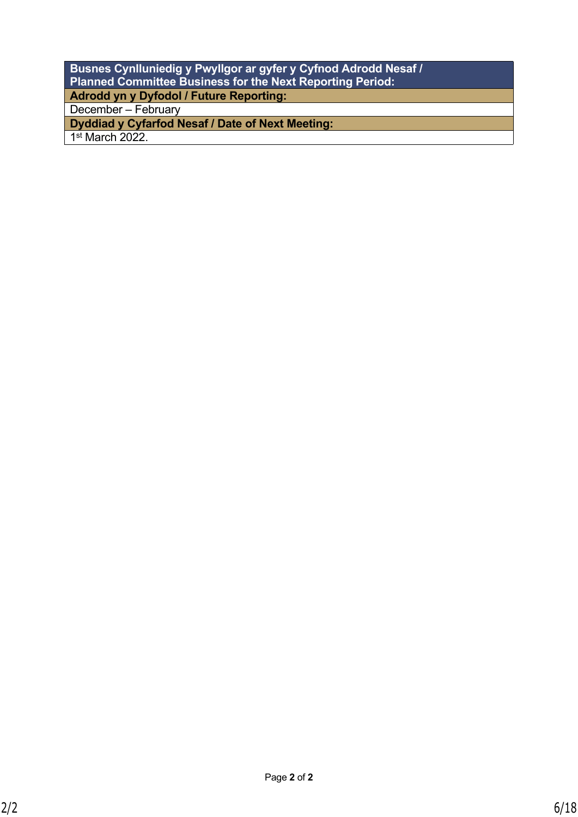| Busnes Cynlluniedig y Pwyllgor ar gyfer y Cyfnod Adrodd Nesaf /  |
|------------------------------------------------------------------|
| <b>Planned Committee Business for the Next Reporting Period:</b> |
| Adrodd yn y Dyfodol / Future Reporting:                          |
| December - February                                              |
| Dyddiad y Cyfarfod Nesaf / Date of Next Meeting:                 |
| $1st$ March 2022.                                                |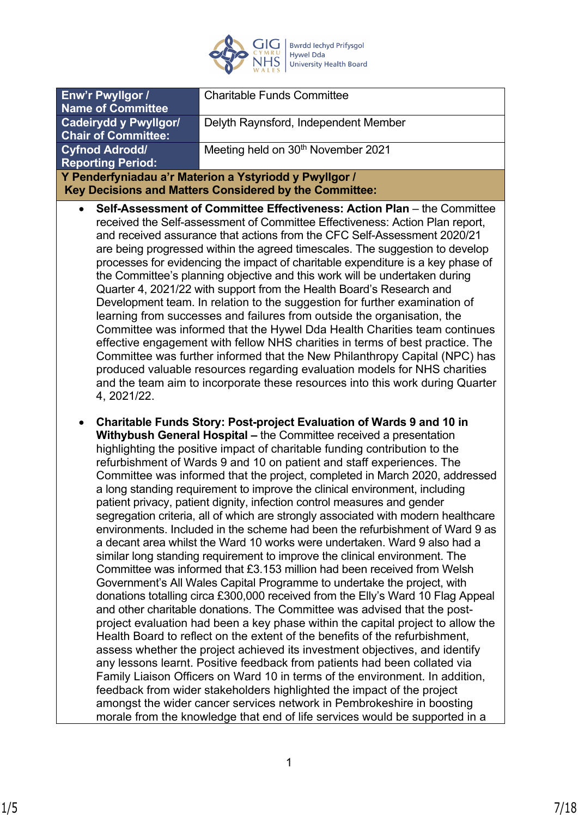

| Enw'r Pwyllgor /                                                                                                                                                     | <b>Charitable Funds Committee</b>              |  |
|----------------------------------------------------------------------------------------------------------------------------------------------------------------------|------------------------------------------------|--|
| <b>Name of Committee</b>                                                                                                                                             |                                                |  |
|                                                                                                                                                                      |                                                |  |
| Cadeirydd y Pwyllgor/                                                                                                                                                | Delyth Raynsford, Independent Member           |  |
| <b>Chair of Committee:</b>                                                                                                                                           |                                                |  |
| <b>Cyfnod Adrodd/</b>                                                                                                                                                | Meeting held on 30 <sup>th</sup> November 2021 |  |
| <b>Reporting Period:</b>                                                                                                                                             |                                                |  |
| Y Penderfyniadau a'r Materion a Ystyriodd y Pwyllgor /                                                                                                               |                                                |  |
| Key Decisions and Matters Considered by the Committee:                                                                                                               |                                                |  |
| Self-Assessment of Committee Effectiveness: Action Plan – the Committee<br>$\bullet$<br>received the Self-assessment of Committee Effectiveness: Action Plan report, |                                                |  |
| and received assurance that actions from the CEC Self-Assessment 2020/21                                                                                             |                                                |  |

- and received assurance that actions from the CFC Self-Assessment 2020/21 are being progressed within the agreed timescales. The suggestion to develop processes for evidencing the impact of charitable expenditure is a key phase of the Committee's planning objective and this work will be undertaken during Quarter 4, 2021/22 with support from the Health Board's Research and Development team. In relation to the suggestion for further examination of learning from successes and failures from outside the organisation, the Committee was informed that the Hywel Dda Health Charities team continues effective engagement with fellow NHS charities in terms of best practice. The Committee was further informed that the New Philanthropy Capital (NPC) has produced valuable resources regarding evaluation models for NHS charities and the team aim to incorporate these resources into this work during Quarter 4, 2021/22.
- **Charitable Funds Story: Post-project Evaluation of Wards 9 and 10 in Withybush General Hospital –** the Committee received a presentation highlighting the positive impact of charitable funding contribution to the refurbishment of Wards 9 and 10 on patient and staff experiences. The Committee was informed that the project, completed in March 2020, addressed a long standing requirement to improve the clinical environment, including patient privacy, patient dignity, infection control measures and gender segregation criteria, all of which are strongly associated with modern healthcare environments. Included in the scheme had been the refurbishment of Ward 9 as a decant area whilst the Ward 10 works were undertaken. Ward 9 also had a similar long standing requirement to improve the clinical environment. The Committee was informed that £3.153 million had been received from Welsh Government's All Wales Capital Programme to undertake the project, with donations totalling circa £300,000 received from the Elly's Ward 10 Flag Appeal and other charitable donations. The Committee was advised that the postproject evaluation had been a key phase within the capital project to allow the Health Board to reflect on the extent of the benefits of the refurbishment, assess whether the project achieved its investment objectives, and identify any lessons learnt. Positive feedback from patients had been collated via Family Liaison Officers on Ward 10 in terms of the environment. In addition, feedback from wider stakeholders highlighted the impact of the project amongst the wider cancer services network in Pembrokeshire in boosting morale from the knowledge that end of life services would be supported in a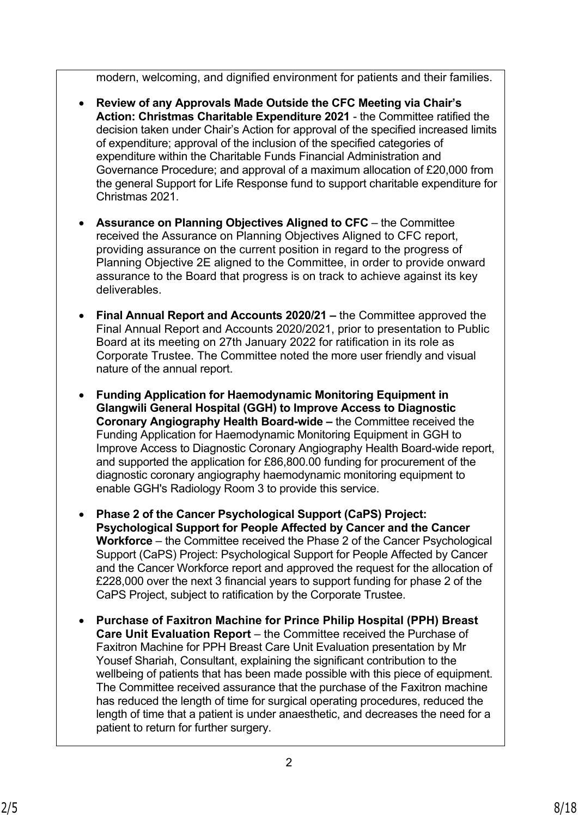modern, welcoming, and dignified environment for patients and their families.

- **Review of any Approvals Made Outside the CFC Meeting via Chair's Action: Christmas Charitable Expenditure 2021** - the Committee ratified the decision taken under Chair's Action for approval of the specified increased limits of expenditure; approval of the inclusion of the specified categories of expenditure within the Charitable Funds Financial Administration and Governance Procedure; and approval of a maximum allocation of £20,000 from the general Support for Life Response fund to support charitable expenditure for Christmas 2021.
- **Assurance on Planning Objectives Aligned to CFC**  the Committee received the Assurance on Planning Objectives Aligned to CFC report, providing assurance on the current position in regard to the progress of Planning Objective 2E aligned to the Committee, in order to provide onward assurance to the Board that progress is on track to achieve against its key deliverables.
- **Final Annual Report and Accounts 2020/21** the Committee approved the Final Annual Report and Accounts 2020/2021, prior to presentation to Public Board at its meeting on 27th January 2022 for ratification in its role as Corporate Trustee. The Committee noted the more user friendly and visual nature of the annual report.
- **Funding Application for Haemodynamic Monitoring Equipment in Glangwili General Hospital (GGH) to Improve Access to Diagnostic Coronary Angiography Health Board-wide –** the Committee received the Funding Application for Haemodynamic Monitoring Equipment in GGH to Improve Access to Diagnostic Coronary Angiography Health Board-wide report, and supported the application for £86,800.00 funding for procurement of the diagnostic coronary angiography haemodynamic monitoring equipment to enable GGH's Radiology Room 3 to provide this service.
- **Phase 2 of the Cancer Psychological Support (CaPS) Project: Psychological Support for People Affected by Cancer and the Cancer Workforce** – the Committee received the Phase 2 of the Cancer Psychological Support (CaPS) Project: Psychological Support for People Affected by Cancer and the Cancer Workforce report and approved the request for the allocation of £228,000 over the next 3 financial years to support funding for phase 2 of the CaPS Project, subject to ratification by the Corporate Trustee.
- **Purchase of Faxitron Machine for Prince Philip Hospital (PPH) Breast Care Unit Evaluation Report** – the Committee received the Purchase of Faxitron Machine for PPH Breast Care Unit Evaluation presentation by Mr Yousef Shariah, Consultant, explaining the significant contribution to the wellbeing of patients that has been made possible with this piece of equipment. The Committee received assurance that the purchase of the Faxitron machine has reduced the length of time for surgical operating procedures, reduced the length of time that a patient is under anaesthetic, and decreases the need for a patient to return for further surgery.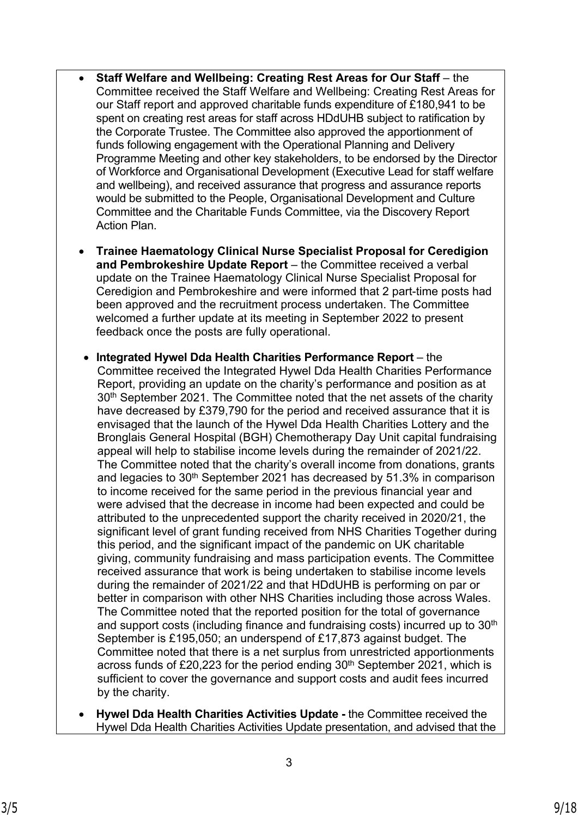- **Staff Welfare and Wellbeing: Creating Rest Areas for Our Staff** the Committee received the Staff Welfare and Wellbeing: Creating Rest Areas for our Staff report and approved charitable funds expenditure of £180,941 to be spent on creating rest areas for staff across HDdUHB subject to ratification by the Corporate Trustee. The Committee also approved the apportionment of funds following engagement with the Operational Planning and Delivery Programme Meeting and other key stakeholders, to be endorsed by the Director of Workforce and Organisational Development (Executive Lead for staff welfare and wellbeing), and received assurance that progress and assurance reports would be submitted to the People, Organisational Development and Culture Committee and the Charitable Funds Committee, via the Discovery Report Action Plan.
- **Trainee Haematology Clinical Nurse Specialist Proposal for Ceredigion and Pembrokeshire Update Report** – the Committee received a verbal update on the Trainee Haematology Clinical Nurse Specialist Proposal for Ceredigion and Pembrokeshire and were informed that 2 part-time posts had been approved and the recruitment process undertaken. The Committee welcomed a further update at its meeting in September 2022 to present feedback once the posts are fully operational.
- **Integrated Hywel Dda Health Charities Performance Report**  the Committee received the Integrated Hywel Dda Health Charities Performance Report, providing an update on the charity's performance and position as at 30<sup>th</sup> September 2021. The Committee noted that the net assets of the charity have decreased by £379,790 for the period and received assurance that it is envisaged that the launch of the Hywel Dda Health Charities Lottery and the Bronglais General Hospital (BGH) Chemotherapy Day Unit capital fundraising appeal will help to stabilise income levels during the remainder of 2021/22. The Committee noted that the charity's overall income from donations, grants and legacies to 30th September 2021 has decreased by 51.3% in comparison to income received for the same period in the previous financial year and were advised that the decrease in income had been expected and could be attributed to the unprecedented support the charity received in 2020/21, the significant level of grant funding received from NHS Charities Together during this period, and the significant impact of the pandemic on UK charitable giving, community fundraising and mass participation events. The Committee received assurance that work is being undertaken to stabilise income levels during the remainder of 2021/22 and that HDdUHB is performing on par or better in comparison with other NHS Charities including those across Wales. The Committee noted that the reported position for the total of governance and support costs (including finance and fundraising costs) incurred up to 30<sup>th</sup> September is £195,050; an underspend of £17,873 against budget. The Committee noted that there is a net surplus from unrestricted apportionments across funds of £20,223 for the period ending 30<sup>th</sup> September 2021, which is sufficient to cover the governance and support costs and audit fees incurred by the charity.
- **Hywel Dda Health Charities Activities Update -** the Committee received the Hywel Dda Health Charities Activities Update presentation, and advised that the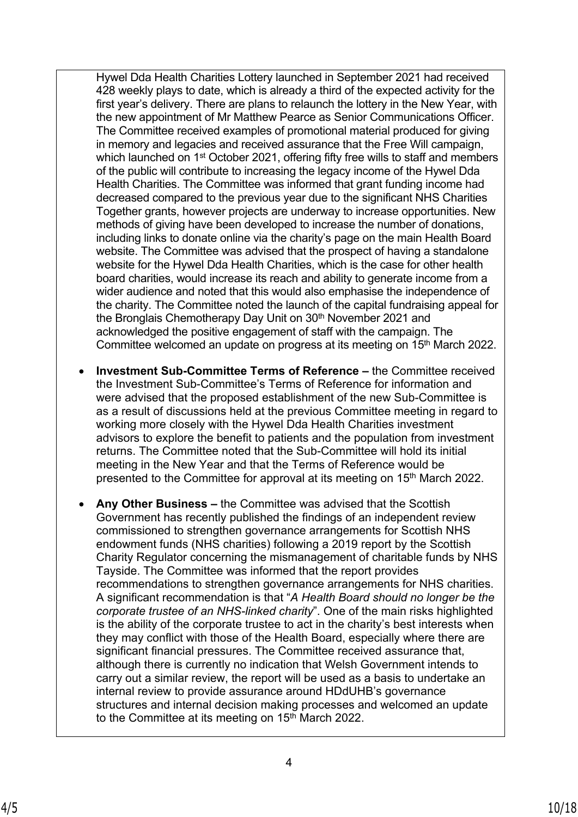Hywel Dda Health Charities Lottery launched in September 2021 had received 428 weekly plays to date, which is already a third of the expected activity for the first year's delivery. There are plans to relaunch the lottery in the New Year, with the new appointment of Mr Matthew Pearce as Senior Communications Officer. The Committee received examples of promotional material produced for giving in memory and legacies and received assurance that the Free Will campaign, which launched on 1<sup>st</sup> October 2021, offering fifty free wills to staff and members of the public will contribute to increasing the legacy income of the Hywel Dda Health Charities. The Committee was informed that grant funding income had decreased compared to the previous year due to the significant NHS Charities Together grants, however projects are underway to increase opportunities. New methods of giving have been developed to increase the number of donations, including links to donate online via the charity's page on the main Health Board website. The Committee was advised that the prospect of having a standalone website for the Hywel Dda Health Charities, which is the case for other health board charities, would increase its reach and ability to generate income from a wider audience and noted that this would also emphasise the independence of the charity. The Committee noted the launch of the capital fundraising appeal for the Bronglais Chemotherapy Day Unit on 30<sup>th</sup> November 2021 and acknowledged the positive engagement of staff with the campaign. The Committee welcomed an update on progress at its meeting on 15<sup>th</sup> March 2022.

- **Investment Sub-Committee Terms of Reference** the Committee received the Investment Sub-Committee's Terms of Reference for information and were advised that the proposed establishment of the new Sub-Committee is as a result of discussions held at the previous Committee meeting in regard to working more closely with the Hywel Dda Health Charities investment advisors to explore the benefit to patients and the population from investment returns. The Committee noted that the Sub-Committee will hold its initial meeting in the New Year and that the Terms of Reference would be presented to the Committee for approval at its meeting on 15<sup>th</sup> March 2022.
- **Any Other Business –** the Committee was advised that the Scottish Government has recently published the findings of an independent review commissioned to strengthen governance arrangements for Scottish NHS endowment funds (NHS charities) following a 2019 report by the Scottish Charity Regulator concerning the mismanagement of charitable funds by NHS Tayside. The Committee was informed that the report provides recommendations to strengthen governance arrangements for NHS charities. A significant recommendation is that "*A Health Board should no longer be the corporate trustee of an NHS-linked charity*". One of the main risks highlighted is the ability of the corporate trustee to act in the charity's best interests when they may conflict with those of the Health Board, especially where there are significant financial pressures. The Committee received assurance that, although there is currently no indication that Welsh Government intends to carry out a similar review, the report will be used as a basis to undertake an internal review to provide assurance around HDdUHB's governance structures and internal decision making processes and welcomed an update to the Committee at its meeting on 15<sup>th</sup> March 2022.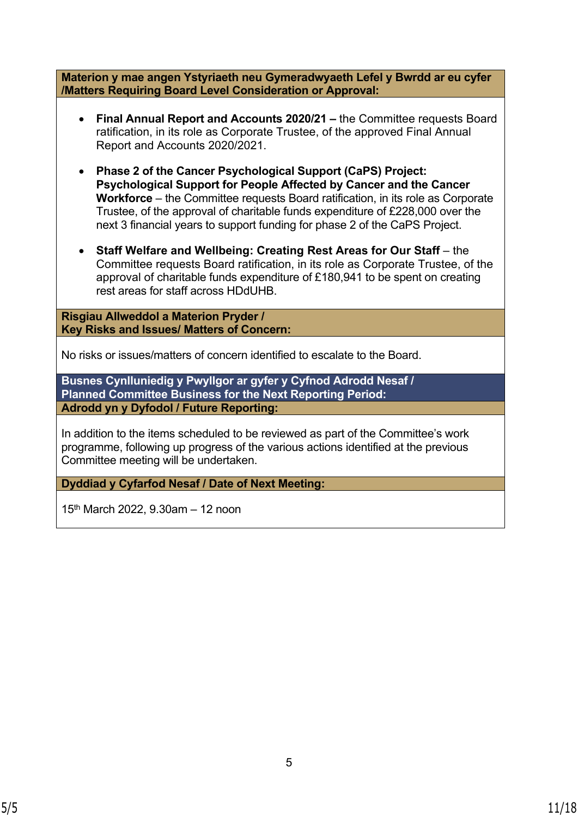**Materion y mae angen Ystyriaeth neu Gymeradwyaeth Lefel y Bwrdd ar eu cyfer /Matters Requiring Board Level Consideration or Approval: Final Annual Report and Accounts 2020/21 –** the Committee requests Board ratification, in its role as Corporate Trustee, of the approved Final Annual Report and Accounts 2020/2021. **Phase 2 of the Cancer Psychological Support (CaPS) Project: Psychological Support for People Affected by Cancer and the Cancer Workforce** – the Committee requests Board ratification, in its role as Corporate Trustee, of the approval of charitable funds expenditure of £228,000 over the next 3 financial years to support funding for phase 2 of the CaPS Project. **Staff Welfare and Wellbeing: Creating Rest Areas for Our Staff** – the Committee requests Board ratification, in its role as Corporate Trustee, of the approval of charitable funds expenditure of £180,941 to be spent on creating rest areas for staff across HDdUHB. **Risgiau Allweddol a Materion Pryder / Key Risks and Issues/ Matters of Concern:** No risks or issues/matters of concern identified to escalate to the Board. **Busnes Cynlluniedig y Pwyllgor ar gyfer y Cyfnod Adrodd Nesaf / Planned Committee Business for the Next Reporting Period: Adrodd yn y Dyfodol / Future Reporting:** In addition to the items scheduled to be reviewed as part of the Committee's work programme, following up progress of the various actions identified at the previous Committee meeting will be undertaken. **Dyddiad y Cyfarfod Nesaf / Date of Next Meeting:**

 $15<sup>th</sup>$  March 2022, 9.30am – 12 noon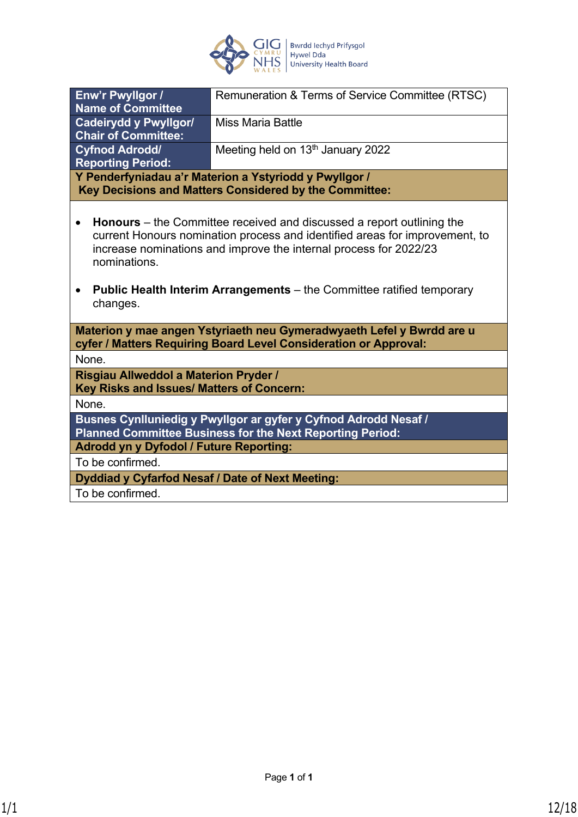

| Enw'r Pwyllgor /<br>Remuneration & Terms of Service Committee (RTSC)                                                                                                                                                                                                                                                                                      |                                                                                                                                           |  |  |
|-----------------------------------------------------------------------------------------------------------------------------------------------------------------------------------------------------------------------------------------------------------------------------------------------------------------------------------------------------------|-------------------------------------------------------------------------------------------------------------------------------------------|--|--|
| <b>Name of Committee</b>                                                                                                                                                                                                                                                                                                                                  |                                                                                                                                           |  |  |
| <b>Cadeirydd y Pwyllgor/</b><br><b>Miss Maria Battle</b>                                                                                                                                                                                                                                                                                                  |                                                                                                                                           |  |  |
| <b>Chair of Committee:</b>                                                                                                                                                                                                                                                                                                                                |                                                                                                                                           |  |  |
| <b>Cyfnod Adrodd/</b>                                                                                                                                                                                                                                                                                                                                     | Meeting held on 13th January 2022                                                                                                         |  |  |
| <b>Reporting Period:</b>                                                                                                                                                                                                                                                                                                                                  |                                                                                                                                           |  |  |
|                                                                                                                                                                                                                                                                                                                                                           | Y Penderfyniadau a'r Materion a Ystyriodd y Pwyllgor /                                                                                    |  |  |
|                                                                                                                                                                                                                                                                                                                                                           | Key Decisions and Matters Considered by the Committee:                                                                                    |  |  |
| <b>Honours</b> – the Committee received and discussed a report outlining the<br>current Honours nomination process and identified areas for improvement, to<br>increase nominations and improve the internal process for 2022/23<br>nominations.<br><b>Public Health Interim Arrangements</b> – the Committee ratified temporary<br>$\bullet$<br>changes. |                                                                                                                                           |  |  |
|                                                                                                                                                                                                                                                                                                                                                           | Materion y mae angen Ystyriaeth neu Gymeradwyaeth Lefel y Bwrdd are u<br>cyfer / Matters Requiring Board Level Consideration or Approval: |  |  |
| None.                                                                                                                                                                                                                                                                                                                                                     |                                                                                                                                           |  |  |
| Risgiau Allweddol a Materion Pryder /<br>Key Risks and Issues/ Matters of Concern:                                                                                                                                                                                                                                                                        |                                                                                                                                           |  |  |
| None.                                                                                                                                                                                                                                                                                                                                                     |                                                                                                                                           |  |  |
| Busnes Cynlluniedig y Pwyllgor ar gyfer y Cyfnod Adrodd Nesaf /<br><b>Planned Committee Business for the Next Reporting Period:</b>                                                                                                                                                                                                                       |                                                                                                                                           |  |  |
| <b>Adrodd yn y Dyfodol / Future Reporting:</b>                                                                                                                                                                                                                                                                                                            |                                                                                                                                           |  |  |
| To be confirmed.                                                                                                                                                                                                                                                                                                                                          |                                                                                                                                           |  |  |
| Dyddiad y Cyfarfod Nesaf / Date of Next Meeting:                                                                                                                                                                                                                                                                                                          |                                                                                                                                           |  |  |
| To be confirmed.                                                                                                                                                                                                                                                                                                                                          |                                                                                                                                           |  |  |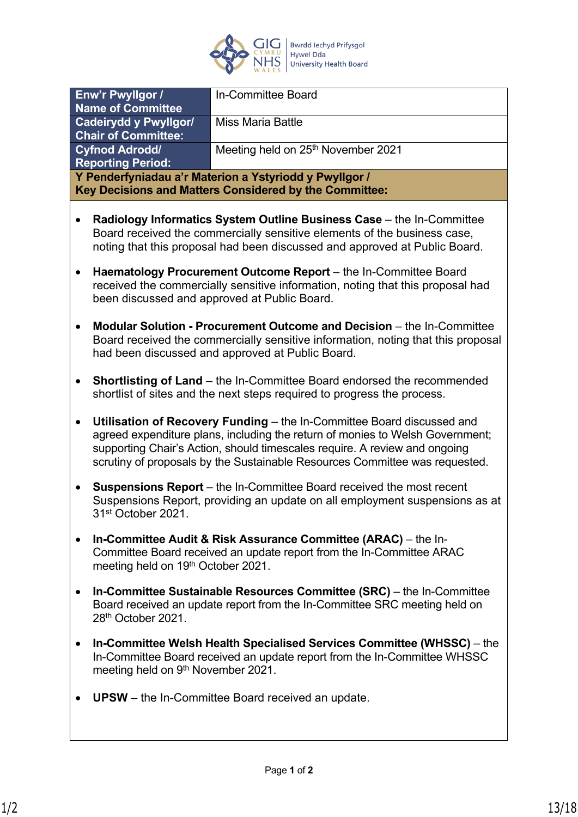

|                                                     |                                                                                                                                                                                                                                                                                                                      | In-Committee Board                                                                                                                                 |  |
|-----------------------------------------------------|----------------------------------------------------------------------------------------------------------------------------------------------------------------------------------------------------------------------------------------------------------------------------------------------------------------------|----------------------------------------------------------------------------------------------------------------------------------------------------|--|
|                                                     | Enw'r Pwyllgor /<br><b>Name of Committee</b>                                                                                                                                                                                                                                                                         |                                                                                                                                                    |  |
|                                                     | <b>Cadeirydd y Pwyllgor/</b><br><b>Miss Maria Battle</b>                                                                                                                                                                                                                                                             |                                                                                                                                                    |  |
| <b>Chair of Committee:</b><br><b>Cyfnod Adrodd/</b> |                                                                                                                                                                                                                                                                                                                      | Meeting held on 25th November 2021                                                                                                                 |  |
|                                                     | <b>Reporting Period:</b>                                                                                                                                                                                                                                                                                             |                                                                                                                                                    |  |
|                                                     |                                                                                                                                                                                                                                                                                                                      | Y Penderfyniadau a'r Materion a Ystyriodd y Pwyllgor /<br>Key Decisions and Matters Considered by the Committee:                                   |  |
|                                                     |                                                                                                                                                                                                                                                                                                                      |                                                                                                                                                    |  |
|                                                     | Radiology Informatics System Outline Business Case - the In-Committee<br>Board received the commercially sensitive elements of the business case,<br>noting that this proposal had been discussed and approved at Public Board.                                                                                      |                                                                                                                                                    |  |
| ٠                                                   | Haematology Procurement Outcome Report - the In-Committee Board<br>received the commercially sensitive information, noting that this proposal had<br>been discussed and approved at Public Board.                                                                                                                    |                                                                                                                                                    |  |
|                                                     | <b>Modular Solution - Procurement Outcome and Decision - the In-Committee</b><br>Board received the commercially sensitive information, noting that this proposal<br>had been discussed and approved at Public Board.                                                                                                |                                                                                                                                                    |  |
| $\bullet$                                           | <b>Shortlisting of Land</b> – the In-Committee Board endorsed the recommended<br>shortlist of sites and the next steps required to progress the process.                                                                                                                                                             |                                                                                                                                                    |  |
| $\bullet$                                           | Utilisation of Recovery Funding - the In-Committee Board discussed and<br>agreed expenditure plans, including the return of monies to Welsh Government;<br>supporting Chair's Action, should timescales require. A review and ongoing<br>scrutiny of proposals by the Sustainable Resources Committee was requested. |                                                                                                                                                    |  |
|                                                     | <b>Suspensions Report</b> – the In-Committee Board received the most recent<br>Suspensions Report, providing an update on all employment suspensions as at<br>31st October 2021.                                                                                                                                     |                                                                                                                                                    |  |
|                                                     | In-Committee Audit & Risk Assurance Committee (ARAC) – the In-<br>Committee Board received an update report from the In-Committee ARAC<br>meeting held on 19th October 2021.                                                                                                                                         |                                                                                                                                                    |  |
| $\bullet$                                           | In-Committee Sustainable Resources Committee (SRC) – the In-Committee<br>Board received an update report from the In-Committee SRC meeting held on<br>28th October 2021.                                                                                                                                             |                                                                                                                                                    |  |
| $\bullet$                                           | meeting held on 9th November 2021.                                                                                                                                                                                                                                                                                   | In-Committee Welsh Health Specialised Services Committee (WHSSC) – the<br>In-Committee Board received an update report from the In-Committee WHSSC |  |
|                                                     |                                                                                                                                                                                                                                                                                                                      | <b>UPSW</b> – the In-Committee Board received an update.                                                                                           |  |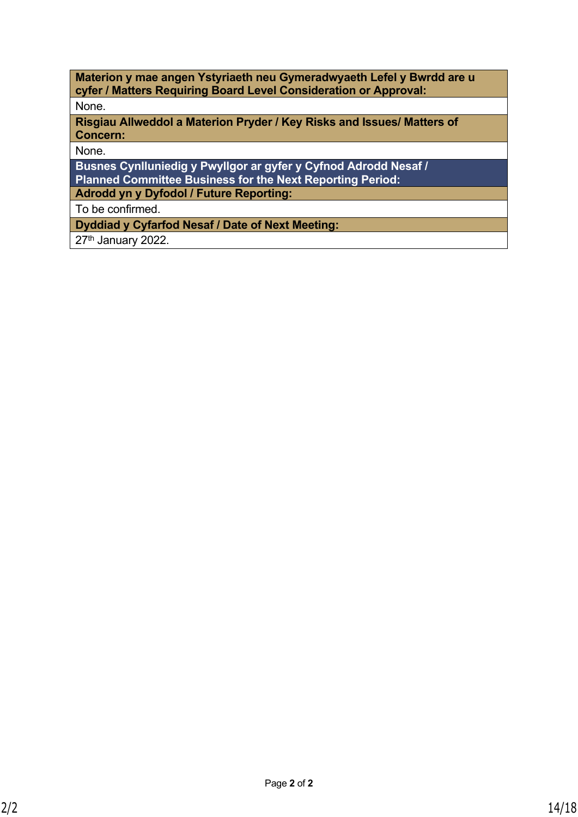**Materion y mae angen Ystyriaeth neu Gymeradwyaeth Lefel y Bwrdd are u cyfer / Matters Requiring Board Level Consideration or Approval:** None. **Risgiau Allweddol a Materion Pryder / Key Risks and Issues/ Matters of Concern:** None. **Busnes Cynlluniedig y Pwyllgor ar gyfer y Cyfnod Adrodd Nesaf / Planned Committee Business for the Next Reporting Period: Adrodd yn y Dyfodol / Future Reporting:** To be confirmed.

**Dyddiad y Cyfarfod Nesaf / Date of Next Meeting:**

27<sup>th</sup> January 2022.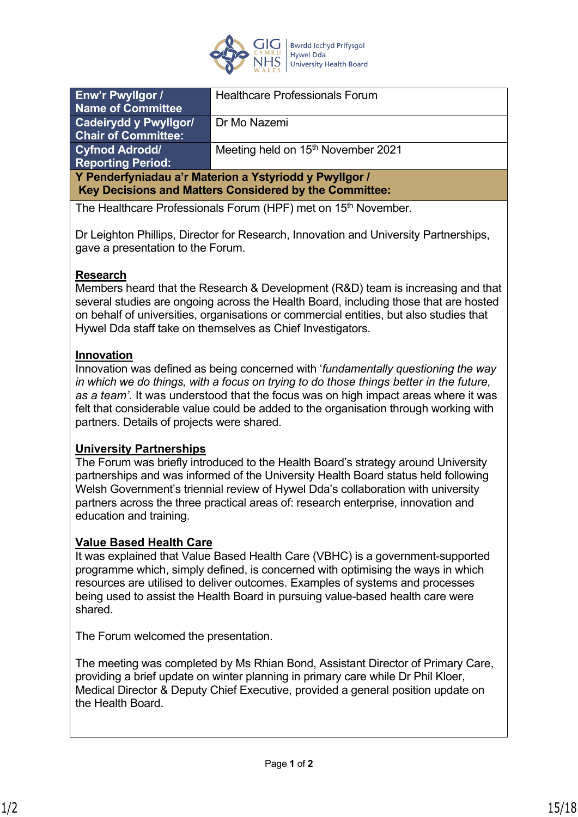

| <b>Enw'r Pwyllgor /</b>                                                                                          | <b>Healthcare Professionals Forum</b>          |  |
|------------------------------------------------------------------------------------------------------------------|------------------------------------------------|--|
| Name of Committee                                                                                                |                                                |  |
| Cadeirydd y Pwyllgor/                                                                                            | Dr Mo Nazemi                                   |  |
| <b>Chair of Committee:</b>                                                                                       |                                                |  |
| <b>Cyfnod Adrodd/</b>                                                                                            | Meeting held on 15 <sup>th</sup> November 2021 |  |
| <b>Reporting Period:</b>                                                                                         |                                                |  |
| Y Penderfyniadau a'r Materion a Ystyriodd y Pwyllgor /<br>Key Decisions and Matters Considered by the Committee: |                                                |  |
|                                                                                                                  |                                                |  |

The Healthcare Professionals Forum (HPF) met on 15<sup>th</sup> November.

Dr Leighton Phillips, Director for Research, Innovation and University Partnerships, gave a presentation to the Forum.

# **Research**

Members heard that the Research & Development (R&D) team is increasing and that several studies are ongoing across the Health Board, including those that are hosted on behalf of universities, organisations or commercial entities, but also studies that Hywel Dda staff take on themselves as Chief Investigators.

# **Innovation**

Innovation was defined as being concerned with '*fundamentally questioning the way in which we do things, with a focus on trying to do those things better in the future, as a team'.* It was understood that the focus was on high impact areas where it was felt that considerable value could be added to the organisation through working with partners. Details of projects were shared.

## **University Partnerships**

The Forum was briefly introduced to the Health Board's strategy around University partnerships and was informed of the University Health Board status held following Welsh Government's triennial review of Hywel Dda's collaboration with university partners across the three practical areas of: research enterprise, innovation and education and training.

## **Value Based Health Care**

It was explained that Value Based Health Care (VBHC) is a government-supported programme which, simply defined, is concerned with optimising the ways in which resources are utilised to deliver outcomes. Examples of systems and processes being used to assist the Health Board in pursuing value-based health care were shared.

The Forum welcomed the presentation.

The meeting was completed by Ms Rhian Bond, Assistant Director of Primary Care, providing a brief update on winter planning in primary care while Dr Phil Kloer, Medical Director & Deputy Chief Executive, provided a general position update on the Health Board.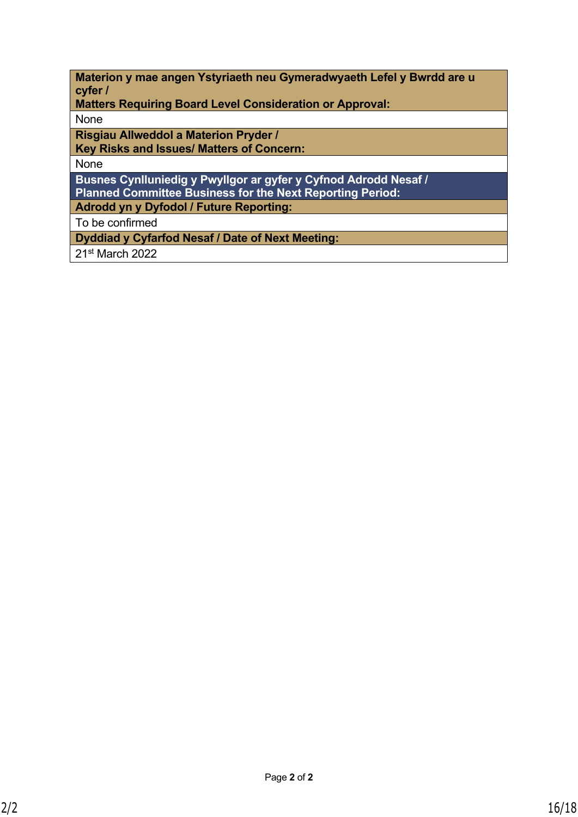| Materion y mae angen Ystyriaeth neu Gymeradwyaeth Lefel y Bwrdd are u |  |  |
|-----------------------------------------------------------------------|--|--|
| cyfer /                                                               |  |  |

**Matters Requiring Board Level Consideration or Approval:**

None

**Risgiau Allweddol a Materion Pryder /**

**Key Risks and Issues/ Matters of Concern:**

None

**Busnes Cynlluniedig y Pwyllgor ar gyfer y Cyfnod Adrodd Nesaf / Planned Committee Business for the Next Reporting Period:**

**Adrodd yn y Dyfodol / Future Reporting:**

To be confirmed

**Dyddiad y Cyfarfod Nesaf / Date of Next Meeting:**

21st March 2022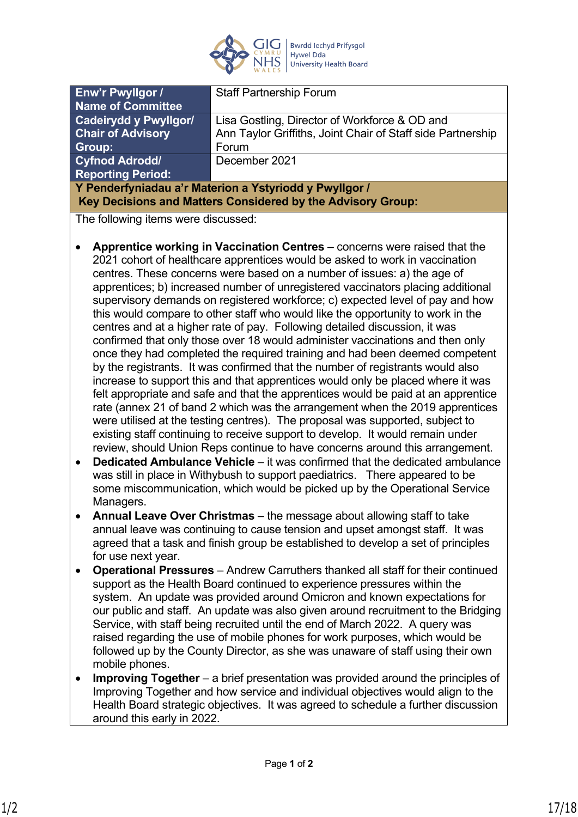

| <b>Enw'r Pwyllgor /</b>                                     | <b>Staff Partnership Forum</b>                              |
|-------------------------------------------------------------|-------------------------------------------------------------|
| <b>Name of Committee</b>                                    |                                                             |
| <b>Cadeirydd y Pwyllgor/</b>                                | Lisa Gostling, Director of Workforce & OD and               |
| <b>Chair of Advisory</b>                                    | Ann Taylor Griffiths, Joint Chair of Staff side Partnership |
| Group:                                                      | Forum                                                       |
| <b>Cyfnod Adrodd</b>                                        | December 2021                                               |
| <b>Reporting Period:</b>                                    |                                                             |
| Y Penderfyniadau a'r Materion a Ystyriodd y Pwyllgor /      |                                                             |
| Key Decisions and Matters Considered by the Advisory Group: |                                                             |
|                                                             |                                                             |

The following items were discussed:

- **Apprentice working in Vaccination Centres** concerns were raised that the 2021 cohort of healthcare apprentices would be asked to work in vaccination centres. These concerns were based on a number of issues: a) the age of apprentices; b) increased number of unregistered vaccinators placing additional supervisory demands on registered workforce; c) expected level of pay and how this would compare to other staff who would like the opportunity to work in the centres and at a higher rate of pay. Following detailed discussion, it was confirmed that only those over 18 would administer vaccinations and then only once they had completed the required training and had been deemed competent by the registrants. It was confirmed that the number of registrants would also increase to support this and that apprentices would only be placed where it was felt appropriate and safe and that the apprentices would be paid at an apprentice rate (annex 21 of band 2 which was the arrangement when the 2019 apprentices were utilised at the testing centres). The proposal was supported, subject to existing staff continuing to receive support to develop. It would remain under review, should Union Reps continue to have concerns around this arrangement.
- **Dedicated Ambulance Vehicle**  it was confirmed that the dedicated ambulance was still in place in Withybush to support paediatrics. There appeared to be some miscommunication, which would be picked up by the Operational Service Managers.
- **Annual Leave Over Christmas**  the message about allowing staff to take annual leave was continuing to cause tension and upset amongst staff. It was agreed that a task and finish group be established to develop a set of principles for use next year.
- **Operational Pressures**  Andrew Carruthers thanked all staff for their continued support as the Health Board continued to experience pressures within the system. An update was provided around Omicron and known expectations for our public and staff. An update was also given around recruitment to the Bridging Service, with staff being recruited until the end of March 2022. A query was raised regarding the use of mobile phones for work purposes, which would be followed up by the County Director, as she was unaware of staff using their own mobile phones.
- **Improving Together**  a brief presentation was provided around the principles of Improving Together and how service and individual objectives would align to the Health Board strategic objectives. It was agreed to schedule a further discussion around this early in 2022.